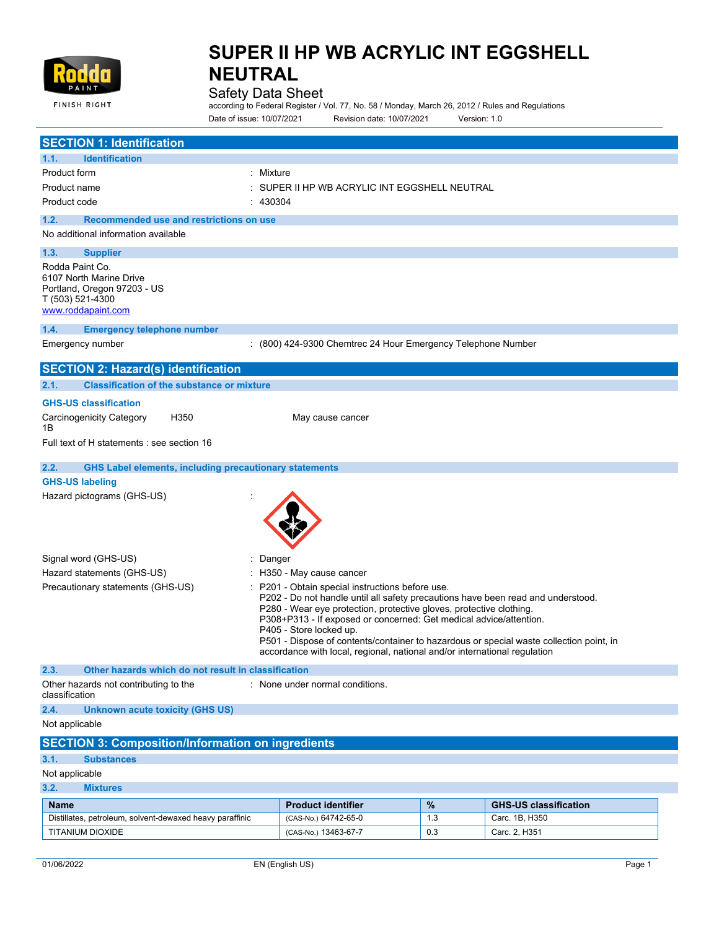

### Safety Data Sheet

according to Federal Register / Vol. 77, No. 58 / Monday, March 26, 2012 / Rules and Regulations Date of issue: 10/07/2021 Revision date: 10/07/2021 Version: 1.0

| <b>SECTION 1: Identification</b>                                                                                    |                                                                                                                                                                                                                                                                                                                                                                                                                                                                                    |      |                              |  |
|---------------------------------------------------------------------------------------------------------------------|------------------------------------------------------------------------------------------------------------------------------------------------------------------------------------------------------------------------------------------------------------------------------------------------------------------------------------------------------------------------------------------------------------------------------------------------------------------------------------|------|------------------------------|--|
| 1.1.<br><b>Identification</b>                                                                                       |                                                                                                                                                                                                                                                                                                                                                                                                                                                                                    |      |                              |  |
| Product form<br>: Mixture                                                                                           |                                                                                                                                                                                                                                                                                                                                                                                                                                                                                    |      |                              |  |
| Product name                                                                                                        | SUPER II HP WB ACRYLIC INT EGGSHELL NEUTRAL                                                                                                                                                                                                                                                                                                                                                                                                                                        |      |                              |  |
| 430304<br>Product code                                                                                              |                                                                                                                                                                                                                                                                                                                                                                                                                                                                                    |      |                              |  |
| Recommended use and restrictions on use<br>1.2.                                                                     |                                                                                                                                                                                                                                                                                                                                                                                                                                                                                    |      |                              |  |
| No additional information available                                                                                 |                                                                                                                                                                                                                                                                                                                                                                                                                                                                                    |      |                              |  |
| 1.3.<br><b>Supplier</b>                                                                                             |                                                                                                                                                                                                                                                                                                                                                                                                                                                                                    |      |                              |  |
| Rodda Paint Co.<br>6107 North Marine Drive<br>Portland, Oregon 97203 - US<br>T (503) 521-4300<br>www.roddapaint.com |                                                                                                                                                                                                                                                                                                                                                                                                                                                                                    |      |                              |  |
| 1.4.<br><b>Emergency telephone number</b>                                                                           |                                                                                                                                                                                                                                                                                                                                                                                                                                                                                    |      |                              |  |
| Emergency number                                                                                                    | : (800) 424-9300 Chemtrec 24 Hour Emergency Telephone Number                                                                                                                                                                                                                                                                                                                                                                                                                       |      |                              |  |
| <b>SECTION 2: Hazard(s) identification</b>                                                                          |                                                                                                                                                                                                                                                                                                                                                                                                                                                                                    |      |                              |  |
| <b>Classification of the substance or mixture</b><br>2.1.                                                           |                                                                                                                                                                                                                                                                                                                                                                                                                                                                                    |      |                              |  |
| <b>GHS-US classification</b>                                                                                        |                                                                                                                                                                                                                                                                                                                                                                                                                                                                                    |      |                              |  |
| H350<br><b>Carcinogenicity Category</b>                                                                             | May cause cancer                                                                                                                                                                                                                                                                                                                                                                                                                                                                   |      |                              |  |
| 1B                                                                                                                  |                                                                                                                                                                                                                                                                                                                                                                                                                                                                                    |      |                              |  |
| Full text of H statements : see section 16                                                                          |                                                                                                                                                                                                                                                                                                                                                                                                                                                                                    |      |                              |  |
| 2.2.                                                                                                                |                                                                                                                                                                                                                                                                                                                                                                                                                                                                                    |      |                              |  |
| <b>GHS Label elements, including precautionary statements</b><br><b>GHS-US labeling</b>                             |                                                                                                                                                                                                                                                                                                                                                                                                                                                                                    |      |                              |  |
| Hazard pictograms (GHS-US)                                                                                          |                                                                                                                                                                                                                                                                                                                                                                                                                                                                                    |      |                              |  |
| Signal word (GHS-US)<br>Danger                                                                                      |                                                                                                                                                                                                                                                                                                                                                                                                                                                                                    |      |                              |  |
| Hazard statements (GHS-US)                                                                                          | H350 - May cause cancer                                                                                                                                                                                                                                                                                                                                                                                                                                                            |      |                              |  |
| Precautionary statements (GHS-US)                                                                                   | P201 - Obtain special instructions before use.<br>P202 - Do not handle until all safety precautions have been read and understood.<br>P280 - Wear eye protection, protective gloves, protective clothing.<br>P308+P313 - If exposed or concerned: Get medical advice/attention.<br>P405 - Store locked up.<br>P501 - Dispose of contents/container to hazardous or special waste collection point, in<br>accordance with local, regional, national and/or international regulation |      |                              |  |
| 2.3.<br>Other hazards which do not result in classification                                                         |                                                                                                                                                                                                                                                                                                                                                                                                                                                                                    |      |                              |  |
| Other hazards not contributing to the<br>classification                                                             | : None under normal conditions.                                                                                                                                                                                                                                                                                                                                                                                                                                                    |      |                              |  |
| 2.4.<br><b>Unknown acute toxicity (GHS US)</b>                                                                      |                                                                                                                                                                                                                                                                                                                                                                                                                                                                                    |      |                              |  |
| Not applicable                                                                                                      |                                                                                                                                                                                                                                                                                                                                                                                                                                                                                    |      |                              |  |
| <b>SECTION 3: Composition/Information on ingredients</b>                                                            |                                                                                                                                                                                                                                                                                                                                                                                                                                                                                    |      |                              |  |
| 3.1.<br><b>Substances</b>                                                                                           |                                                                                                                                                                                                                                                                                                                                                                                                                                                                                    |      |                              |  |
| Not applicable                                                                                                      |                                                                                                                                                                                                                                                                                                                                                                                                                                                                                    |      |                              |  |
| 3.2.<br><b>Mixtures</b>                                                                                             |                                                                                                                                                                                                                                                                                                                                                                                                                                                                                    |      |                              |  |
| <b>Name</b>                                                                                                         | <b>Product identifier</b>                                                                                                                                                                                                                                                                                                                                                                                                                                                          | $\%$ | <b>GHS-US classification</b> |  |
| Distillates, petroleum, solvent-dewaxed heavy paraffinic                                                            | (CAS-No.) 64742-65-0                                                                                                                                                                                                                                                                                                                                                                                                                                                               | 1.3  | Carc. 1B, H350               |  |
| <b>TITANIUM DIOXIDE</b>                                                                                             | (CAS-No.) 13463-67-7                                                                                                                                                                                                                                                                                                                                                                                                                                                               | 0.3  | Carc. 2, H351                |  |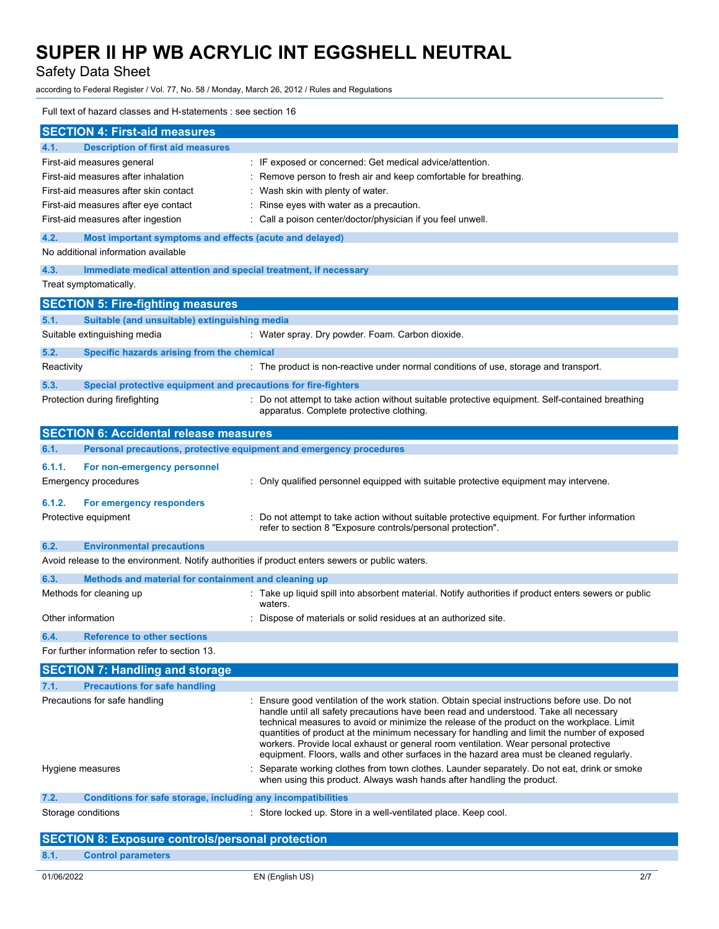Safety Data Sheet

according to Federal Register / Vol. 77, No. 58 / Monday, March 26, 2012 / Rules and Regulations

### Full text of hazard classes and H-statements : see section 16

| <b>Description of first aid measures</b><br>4.1.<br>First-aid measures general<br>: IF exposed or concerned: Get medical advice/attention.<br>First-aid measures after inhalation<br>: Remove person to fresh air and keep comfortable for breathing.<br>First-aid measures after skin contact<br>: Wash skin with plenty of water.<br>First-aid measures after eye contact<br>: Rinse eyes with water as a precaution.<br>First-aid measures after ingestion<br>: Call a poison center/doctor/physician if you feel unwell.<br>4.2.<br>Most important symptoms and effects (acute and delayed)<br>No additional information available<br>4.3.<br>Immediate medical attention and special treatment, if necessary<br>Treat symptomatically.<br><b>SECTION 5: Fire-fighting measures</b><br>Suitable (and unsuitable) extinguishing media<br>5.1.<br>Suitable extinguishing media<br>: Water spray. Dry powder. Foam. Carbon dioxide.<br>5.2.<br>Specific hazards arising from the chemical<br>Reactivity<br>: The product is non-reactive under normal conditions of use, storage and transport.<br>5.3.<br>Special protective equipment and precautions for fire-fighters<br>: Do not attempt to take action without suitable protective equipment. Self-contained breathing<br>Protection during firefighting<br>apparatus. Complete protective clothing. |  |  |
|-------------------------------------------------------------------------------------------------------------------------------------------------------------------------------------------------------------------------------------------------------------------------------------------------------------------------------------------------------------------------------------------------------------------------------------------------------------------------------------------------------------------------------------------------------------------------------------------------------------------------------------------------------------------------------------------------------------------------------------------------------------------------------------------------------------------------------------------------------------------------------------------------------------------------------------------------------------------------------------------------------------------------------------------------------------------------------------------------------------------------------------------------------------------------------------------------------------------------------------------------------------------------------------------------------------------------------------------------------------|--|--|
|                                                                                                                                                                                                                                                                                                                                                                                                                                                                                                                                                                                                                                                                                                                                                                                                                                                                                                                                                                                                                                                                                                                                                                                                                                                                                                                                                             |  |  |
|                                                                                                                                                                                                                                                                                                                                                                                                                                                                                                                                                                                                                                                                                                                                                                                                                                                                                                                                                                                                                                                                                                                                                                                                                                                                                                                                                             |  |  |
|                                                                                                                                                                                                                                                                                                                                                                                                                                                                                                                                                                                                                                                                                                                                                                                                                                                                                                                                                                                                                                                                                                                                                                                                                                                                                                                                                             |  |  |
|                                                                                                                                                                                                                                                                                                                                                                                                                                                                                                                                                                                                                                                                                                                                                                                                                                                                                                                                                                                                                                                                                                                                                                                                                                                                                                                                                             |  |  |
|                                                                                                                                                                                                                                                                                                                                                                                                                                                                                                                                                                                                                                                                                                                                                                                                                                                                                                                                                                                                                                                                                                                                                                                                                                                                                                                                                             |  |  |
|                                                                                                                                                                                                                                                                                                                                                                                                                                                                                                                                                                                                                                                                                                                                                                                                                                                                                                                                                                                                                                                                                                                                                                                                                                                                                                                                                             |  |  |
|                                                                                                                                                                                                                                                                                                                                                                                                                                                                                                                                                                                                                                                                                                                                                                                                                                                                                                                                                                                                                                                                                                                                                                                                                                                                                                                                                             |  |  |
|                                                                                                                                                                                                                                                                                                                                                                                                                                                                                                                                                                                                                                                                                                                                                                                                                                                                                                                                                                                                                                                                                                                                                                                                                                                                                                                                                             |  |  |
|                                                                                                                                                                                                                                                                                                                                                                                                                                                                                                                                                                                                                                                                                                                                                                                                                                                                                                                                                                                                                                                                                                                                                                                                                                                                                                                                                             |  |  |
|                                                                                                                                                                                                                                                                                                                                                                                                                                                                                                                                                                                                                                                                                                                                                                                                                                                                                                                                                                                                                                                                                                                                                                                                                                                                                                                                                             |  |  |
|                                                                                                                                                                                                                                                                                                                                                                                                                                                                                                                                                                                                                                                                                                                                                                                                                                                                                                                                                                                                                                                                                                                                                                                                                                                                                                                                                             |  |  |
|                                                                                                                                                                                                                                                                                                                                                                                                                                                                                                                                                                                                                                                                                                                                                                                                                                                                                                                                                                                                                                                                                                                                                                                                                                                                                                                                                             |  |  |
|                                                                                                                                                                                                                                                                                                                                                                                                                                                                                                                                                                                                                                                                                                                                                                                                                                                                                                                                                                                                                                                                                                                                                                                                                                                                                                                                                             |  |  |
|                                                                                                                                                                                                                                                                                                                                                                                                                                                                                                                                                                                                                                                                                                                                                                                                                                                                                                                                                                                                                                                                                                                                                                                                                                                                                                                                                             |  |  |
|                                                                                                                                                                                                                                                                                                                                                                                                                                                                                                                                                                                                                                                                                                                                                                                                                                                                                                                                                                                                                                                                                                                                                                                                                                                                                                                                                             |  |  |
|                                                                                                                                                                                                                                                                                                                                                                                                                                                                                                                                                                                                                                                                                                                                                                                                                                                                                                                                                                                                                                                                                                                                                                                                                                                                                                                                                             |  |  |
|                                                                                                                                                                                                                                                                                                                                                                                                                                                                                                                                                                                                                                                                                                                                                                                                                                                                                                                                                                                                                                                                                                                                                                                                                                                                                                                                                             |  |  |
| <b>SECTION 6: Accidental release measures</b>                                                                                                                                                                                                                                                                                                                                                                                                                                                                                                                                                                                                                                                                                                                                                                                                                                                                                                                                                                                                                                                                                                                                                                                                                                                                                                               |  |  |
| Personal precautions, protective equipment and emergency procedures<br>6.1.                                                                                                                                                                                                                                                                                                                                                                                                                                                                                                                                                                                                                                                                                                                                                                                                                                                                                                                                                                                                                                                                                                                                                                                                                                                                                 |  |  |
| 6.1.1.<br>For non-emergency personnel                                                                                                                                                                                                                                                                                                                                                                                                                                                                                                                                                                                                                                                                                                                                                                                                                                                                                                                                                                                                                                                                                                                                                                                                                                                                                                                       |  |  |
| : Only qualified personnel equipped with suitable protective equipment may intervene.<br>Emergency procedures                                                                                                                                                                                                                                                                                                                                                                                                                                                                                                                                                                                                                                                                                                                                                                                                                                                                                                                                                                                                                                                                                                                                                                                                                                               |  |  |
| 6.1.2.<br>For emergency responders                                                                                                                                                                                                                                                                                                                                                                                                                                                                                                                                                                                                                                                                                                                                                                                                                                                                                                                                                                                                                                                                                                                                                                                                                                                                                                                          |  |  |
| Protective equipment<br>: Do not attempt to take action without suitable protective equipment. For further information<br>refer to section 8 "Exposure controls/personal protection".                                                                                                                                                                                                                                                                                                                                                                                                                                                                                                                                                                                                                                                                                                                                                                                                                                                                                                                                                                                                                                                                                                                                                                       |  |  |
| 6.2.<br><b>Environmental precautions</b>                                                                                                                                                                                                                                                                                                                                                                                                                                                                                                                                                                                                                                                                                                                                                                                                                                                                                                                                                                                                                                                                                                                                                                                                                                                                                                                    |  |  |
| Avoid release to the environment. Notify authorities if product enters sewers or public waters.                                                                                                                                                                                                                                                                                                                                                                                                                                                                                                                                                                                                                                                                                                                                                                                                                                                                                                                                                                                                                                                                                                                                                                                                                                                             |  |  |
| 6.3.<br>Methods and material for containment and cleaning up                                                                                                                                                                                                                                                                                                                                                                                                                                                                                                                                                                                                                                                                                                                                                                                                                                                                                                                                                                                                                                                                                                                                                                                                                                                                                                |  |  |
| : Take up liquid spill into absorbent material. Notify authorities if product enters sewers or public<br>Methods for cleaning up                                                                                                                                                                                                                                                                                                                                                                                                                                                                                                                                                                                                                                                                                                                                                                                                                                                                                                                                                                                                                                                                                                                                                                                                                            |  |  |
| waters.                                                                                                                                                                                                                                                                                                                                                                                                                                                                                                                                                                                                                                                                                                                                                                                                                                                                                                                                                                                                                                                                                                                                                                                                                                                                                                                                                     |  |  |
| Other information<br>Dispose of materials or solid residues at an authorized site.                                                                                                                                                                                                                                                                                                                                                                                                                                                                                                                                                                                                                                                                                                                                                                                                                                                                                                                                                                                                                                                                                                                                                                                                                                                                          |  |  |
| 6.4.<br><b>Reference to other sections</b>                                                                                                                                                                                                                                                                                                                                                                                                                                                                                                                                                                                                                                                                                                                                                                                                                                                                                                                                                                                                                                                                                                                                                                                                                                                                                                                  |  |  |
| For further information refer to section 13.                                                                                                                                                                                                                                                                                                                                                                                                                                                                                                                                                                                                                                                                                                                                                                                                                                                                                                                                                                                                                                                                                                                                                                                                                                                                                                                |  |  |
| <b>SECTION 7: Handling and storage</b>                                                                                                                                                                                                                                                                                                                                                                                                                                                                                                                                                                                                                                                                                                                                                                                                                                                                                                                                                                                                                                                                                                                                                                                                                                                                                                                      |  |  |
| 7.1.<br><b>Precautions for safe handling</b>                                                                                                                                                                                                                                                                                                                                                                                                                                                                                                                                                                                                                                                                                                                                                                                                                                                                                                                                                                                                                                                                                                                                                                                                                                                                                                                |  |  |
| Precautions for safe handling<br>: Ensure good ventilation of the work station. Obtain special instructions before use. Do not<br>handle until all safety precautions have been read and understood. Take all necessary<br>technical measures to avoid or minimize the release of the product on the workplace. Limit<br>quantities of product at the minimum necessary for handling and limit the number of exposed<br>workers. Provide local exhaust or general room ventilation. Wear personal protective<br>equipment. Floors, walls and other surfaces in the hazard area must be cleaned regularly.                                                                                                                                                                                                                                                                                                                                                                                                                                                                                                                                                                                                                                                                                                                                                   |  |  |
| Separate working clothes from town clothes. Launder separately. Do not eat, drink or smoke<br>Hygiene measures<br>when using this product. Always wash hands after handling the product.                                                                                                                                                                                                                                                                                                                                                                                                                                                                                                                                                                                                                                                                                                                                                                                                                                                                                                                                                                                                                                                                                                                                                                    |  |  |
| Conditions for safe storage, including any incompatibilities<br>7.2.                                                                                                                                                                                                                                                                                                                                                                                                                                                                                                                                                                                                                                                                                                                                                                                                                                                                                                                                                                                                                                                                                                                                                                                                                                                                                        |  |  |
| Storage conditions<br>: Store locked up. Store in a well-ventilated place. Keep cool.                                                                                                                                                                                                                                                                                                                                                                                                                                                                                                                                                                                                                                                                                                                                                                                                                                                                                                                                                                                                                                                                                                                                                                                                                                                                       |  |  |
| <b>SECTION 8: Exposure controls/personal protection</b>                                                                                                                                                                                                                                                                                                                                                                                                                                                                                                                                                                                                                                                                                                                                                                                                                                                                                                                                                                                                                                                                                                                                                                                                                                                                                                     |  |  |
| 8.1.<br><b>Control parameters</b>                                                                                                                                                                                                                                                                                                                                                                                                                                                                                                                                                                                                                                                                                                                                                                                                                                                                                                                                                                                                                                                                                                                                                                                                                                                                                                                           |  |  |

01/06/2022 EN (English US) 2/7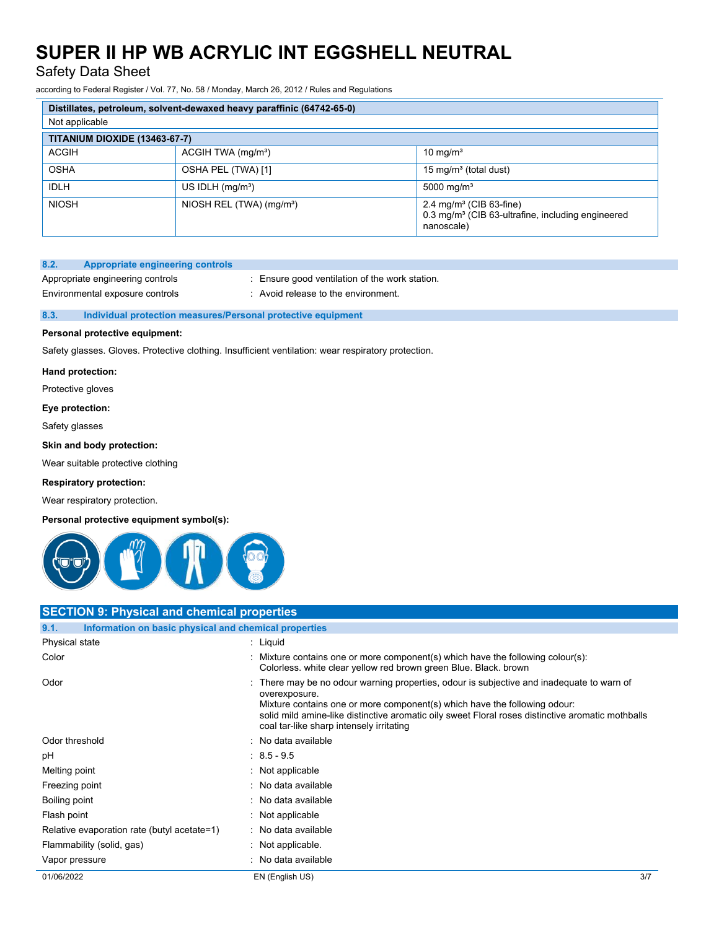Safety Data Sheet

according to Federal Register / Vol. 77, No. 58 / Monday, March 26, 2012 / Rules and Regulations

| Distillates, petroleum, solvent-dewaxed heavy paraffinic (64742-65-0) |                                      |                                                                                                                    |  |  |  |
|-----------------------------------------------------------------------|--------------------------------------|--------------------------------------------------------------------------------------------------------------------|--|--|--|
| Not applicable                                                        |                                      |                                                                                                                    |  |  |  |
| <b>TITANIUM DIOXIDE (13463-67-7)</b>                                  |                                      |                                                                                                                    |  |  |  |
| <b>ACGIH</b>                                                          | ACGIH TWA (mg/m <sup>3</sup> )       | 10 mg/ $m3$                                                                                                        |  |  |  |
| <b>OSHA</b>                                                           | OSHA PEL (TWA) [1]                   | 15 mg/m <sup>3</sup> (total dust)                                                                                  |  |  |  |
| <b>IDLH</b>                                                           | US IDLH $(mg/m3)$                    | 5000 mg/m <sup>3</sup>                                                                                             |  |  |  |
| <b>NIOSH</b>                                                          | NIOSH REL (TWA) (mg/m <sup>3</sup> ) | 2.4 mg/m <sup>3</sup> (CIB 63-fine)<br>0.3 mg/m <sup>3</sup> (CIB 63-ultrafine, including engineered<br>nanoscale) |  |  |  |

### **8.2. Appropriate engineering controls**

Environmental exposure controls : Avoid release to the environment.

Appropriate engineering controls : Ensure good ventilation of the work station.

### **8.3. Individual protection measures/Personal protective equipment**

### **Personal protective equipment:**

Safety glasses. Gloves. Protective clothing. Insufficient ventilation: wear respiratory protection.

### **Hand protection:**

Protective gloves

### **Eye protection:**

Safety glasses

### **Skin and body protection:**

Wear suitable protective clothing

### **Respiratory protection:**

Wear respiratory protection.

### **Personal protective equipment symbol(s):**



### **SECTION 9: Physical and chemical properties**

| 9.1.<br>Information on basic physical and chemical properties |                                                                                                                                                                                                                                                                                                                                          |  |
|---------------------------------------------------------------|------------------------------------------------------------------------------------------------------------------------------------------------------------------------------------------------------------------------------------------------------------------------------------------------------------------------------------------|--|
| Physical state                                                | : Liquid                                                                                                                                                                                                                                                                                                                                 |  |
| Color                                                         | : Mixture contains one or more component(s) which have the following colour(s):<br>Colorless, white clear yellow red brown green Blue, Black, brown                                                                                                                                                                                      |  |
| Odor                                                          | : There may be no odour warning properties, odour is subjective and inadequate to warn of<br>overexposure.<br>Mixture contains one or more component(s) which have the following odour:<br>solid mild amine-like distinctive aromatic oily sweet Floral roses distinctive aromatic mothballs<br>coal tar-like sharp intensely irritating |  |
| Odor threshold                                                | : No data available                                                                                                                                                                                                                                                                                                                      |  |
| рH                                                            | $: 8.5 - 9.5$                                                                                                                                                                                                                                                                                                                            |  |
| Melting point                                                 | : Not applicable                                                                                                                                                                                                                                                                                                                         |  |
| Freezing point                                                | : No data available                                                                                                                                                                                                                                                                                                                      |  |
| Boiling point                                                 | : No data available                                                                                                                                                                                                                                                                                                                      |  |
| Flash point                                                   | : Not applicable                                                                                                                                                                                                                                                                                                                         |  |
| Relative evaporation rate (butyl acetate=1)                   | : No data available                                                                                                                                                                                                                                                                                                                      |  |
| Flammability (solid, gas)                                     | $:$ Not applicable.                                                                                                                                                                                                                                                                                                                      |  |
| Vapor pressure                                                | : No data available                                                                                                                                                                                                                                                                                                                      |  |
| 01/06/2022                                                    | 3/7<br>EN (English US)                                                                                                                                                                                                                                                                                                                   |  |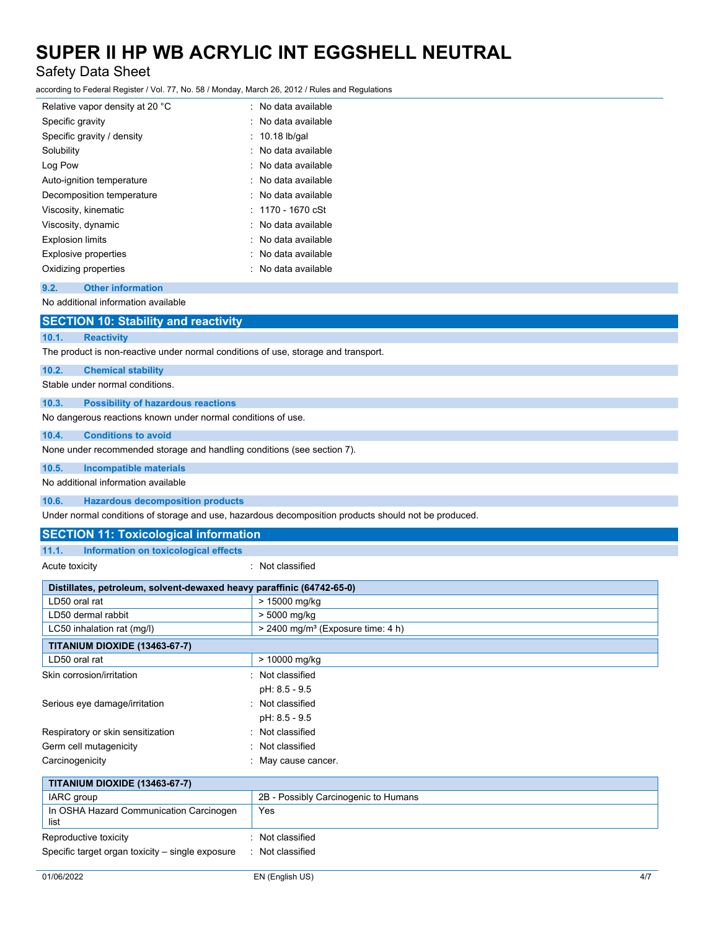### Safety Data Sheet

according to Federal Register / Vol. 77, No. 58 / Monday, March 26, 2012 / Rules and Regulations

| : No data available       |
|---------------------------|
| : No data available       |
| $: 10.18$ lb/gal          |
| : No data available       |
| $\cdot$ No data available |
| $\cdot$ No data available |
| : No data available       |
| $: 1170 - 1670$ cSt       |
| : No data available       |
| : No data available       |
| : No data available       |
| No data available         |
|                           |

### **9.2. Other information**

No additional information available

|       | <b>SECTION 10: Stability and reactivity</b>                                                                               |
|-------|---------------------------------------------------------------------------------------------------------------------------|
| 10.1. | <b>Reactivity</b>                                                                                                         |
|       | The product is non-reactive under normal conditions of use, storage and transport.                                        |
| 10.2. | <b>Chemical stability</b>                                                                                                 |
|       | Stable under normal conditions.                                                                                           |
| 10.3. | <b>Possibility of hazardous reactions</b>                                                                                 |
|       | No dangerous reactions known under normal conditions of use.                                                              |
| 10.4. | <b>Conditions to avoid</b>                                                                                                |
|       | None under recommended storage and handling conditions (see section 7).                                                   |
| 10.5. | <b>Incompatible materials</b>                                                                                             |
|       | No additional information available                                                                                       |
| 10.6. | <b>Hazardous decomposition products</b>                                                                                   |
|       | الرجوي الرجوم الجامع الماريومام اجلور الرجوم استئلمت وموجوع والرجاح والمستحدث المواجع ومستطرقة والمتحدث والمستحد والمسارا |

Under normal conditions of storage and use, hazardous decomposition products should not be produced.

### **SECTION 11: Toxicological information**

### **11.1. Information on toxicological effects**

Acute toxicity in the contract of the classified in the classified in the classified in the classified in the classified in the classified in the classified in the classified in the classified in the classified in the clas

| Distillates, petroleum, solvent-dewaxed heavy paraffinic (64742-65-0) |                                                 |  |  |
|-----------------------------------------------------------------------|-------------------------------------------------|--|--|
| LD50 oral rat                                                         | > 15000 mg/kg                                   |  |  |
| LD50 dermal rabbit                                                    | > 5000 mg/kg                                    |  |  |
| LC50 inhalation rat (mg/l)                                            | $> 2400$ mg/m <sup>3</sup> (Exposure time: 4 h) |  |  |
| <b>TITANIUM DIOXIDE (13463-67-7)</b>                                  |                                                 |  |  |
| LD50 oral rat                                                         | > 10000 mg/kg                                   |  |  |
| Skin corrosion/irritation                                             | : Not classified                                |  |  |
|                                                                       | pH: 8.5 - 9.5                                   |  |  |
| Serious eye damage/irritation                                         | : Not classified                                |  |  |
|                                                                       | pH: 8.5 - 9.5                                   |  |  |
| Respiratory or skin sensitization                                     | : Not classified                                |  |  |
| Germ cell mutagenicity                                                | Not classified                                  |  |  |
| Carcinogenicity                                                       | May cause cancer.                               |  |  |
| <b>TITANIUM DIOXIDE (13463-67-7)</b>                                  |                                                 |  |  |
| <b>IARC</b> group                                                     | 2B - Possibly Carcinogenic to Humans            |  |  |
| In OSHA Hazard Communication Carcinogen<br>list                       | Yes                                             |  |  |
| Reproductive toxicity                                                 | Not classified                                  |  |  |
| Specific target organ toxicity – single exposure                      | : Not classified                                |  |  |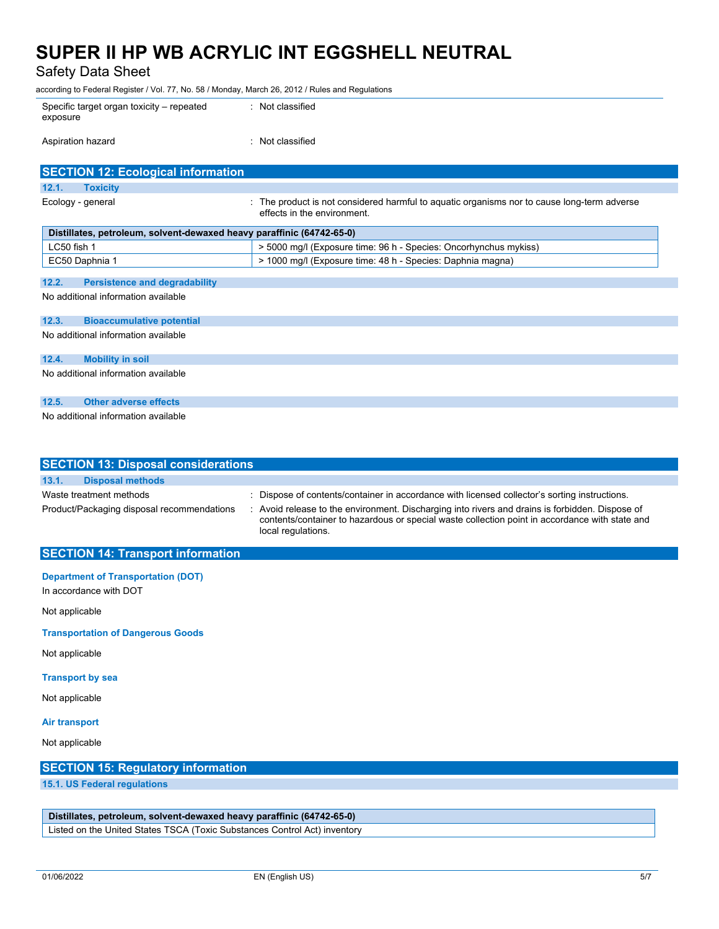Safety Data Sheet

according to Federal Register / Vol. 77, No. 58 / Monday, March 26, 2012 / Rules and Regulations

| Specific target organ toxicity – repeated<br>exposure | : Not classified |
|-------------------------------------------------------|------------------|
| Aspiration hazard                                     | : Not classified |

| <b>SECTION 12: Ecological information</b>                             |                                                                                                                            |
|-----------------------------------------------------------------------|----------------------------------------------------------------------------------------------------------------------------|
| 12.1.<br><b>Toxicity</b>                                              |                                                                                                                            |
| Ecology - general                                                     | : The product is not considered harmful to aquatic organisms nor to cause long-term adverse<br>effects in the environment. |
| Distillates, petroleum, solvent-dewaxed heavy paraffinic (64742-65-0) |                                                                                                                            |
| LC50 fish 1                                                           | > 5000 mg/l (Exposure time: 96 h - Species: Oncorhynchus mykiss)                                                           |
| EC50 Daphnia 1                                                        | > 1000 mg/l (Exposure time: 48 h - Species: Daphnia magna)                                                                 |
|                                                                       |                                                                                                                            |
| 12.2.<br><b>Persistence and degradability</b>                         |                                                                                                                            |
| No additional information available                                   |                                                                                                                            |
| 12.3.<br><b>Bioaccumulative potential</b>                             |                                                                                                                            |
| No additional information available                                   |                                                                                                                            |
| 12.4.<br><b>Mobility in soil</b>                                      |                                                                                                                            |
| No additional information available                                   |                                                                                                                            |
| 12.5.<br><b>Other adverse effects</b>                                 |                                                                                                                            |
| No additional information available                                   |                                                                                                                            |

| <b>SECTION 13: Disposal considerations</b>                            |                                                                                                                                                                                                                                                                                                                          |
|-----------------------------------------------------------------------|--------------------------------------------------------------------------------------------------------------------------------------------------------------------------------------------------------------------------------------------------------------------------------------------------------------------------|
| 13.1.<br><b>Disposal methods</b>                                      |                                                                                                                                                                                                                                                                                                                          |
| Waste treatment methods<br>Product/Packaging disposal recommendations | : Dispose of contents/container in accordance with licensed collector's sorting instructions.<br>: Avoid release to the environment. Discharging into rivers and drains is forbidden. Dispose of<br>contents/container to hazardous or special waste collection point in accordance with state and<br>local regulations. |

### **SECTION 14: Transport information**

**Department of Transportation (DOT)** In accordance with DOT

Not applicable

**Transportation of Dangerous Goods**

Not applicable

### **Transport by sea**

Not applicable

### **Air transport**

Not applicable

### **SECTION 15: Regulatory information**

**15.1. US Federal regulations**

**Distillates, petroleum, solvent-dewaxed heavy paraffinic (64742-65-0)**

Listed on the United States TSCA (Toxic Substances Control Act) inventory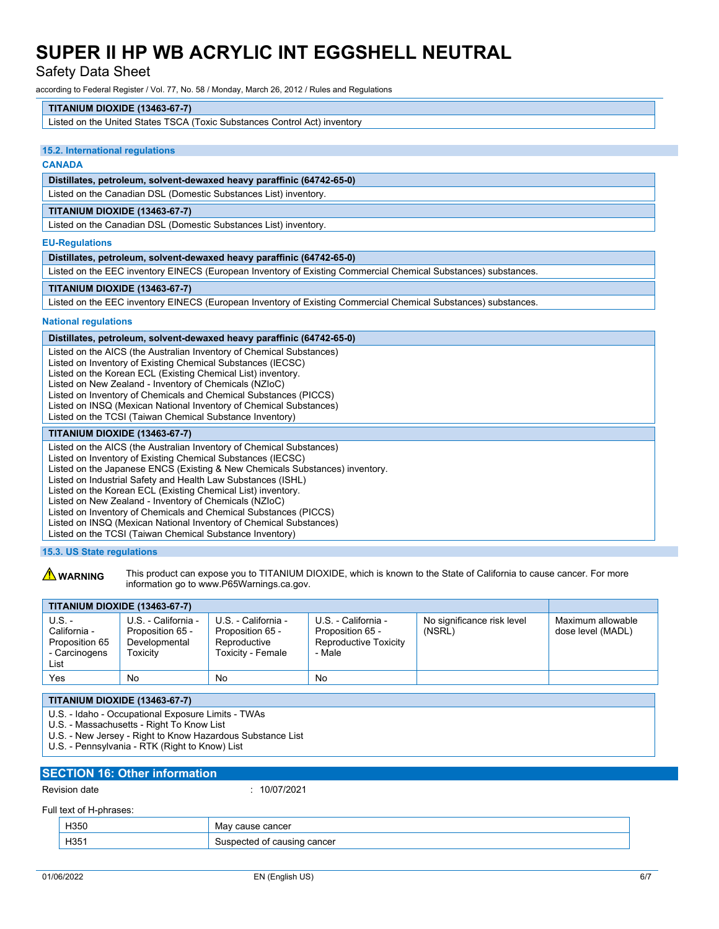Safety Data Sheet

according to Federal Register / Vol. 77, No. 58 / Monday, March 26, 2012 / Rules and Regulations

### **TITANIUM DIOXIDE (13463-67-7)**

Listed on the United States TSCA (Toxic Substances Control Act) inventory

#### **15.2. International regulations**

### **CANADA**

### **Distillates, petroleum, solvent-dewaxed heavy paraffinic (64742-65-0)**

Listed on the Canadian DSL (Domestic Substances List) inventory.

### **TITANIUM DIOXIDE (13463-67-7)**

Listed on the Canadian DSL (Domestic Substances List) inventory.

#### **EU-Regulations**

| Distillates, petroleum, solvent-dewaxed heavy paraffinic (64742-65-0)                                                                                                                                                                                                                                                                                                                                                                                               |
|---------------------------------------------------------------------------------------------------------------------------------------------------------------------------------------------------------------------------------------------------------------------------------------------------------------------------------------------------------------------------------------------------------------------------------------------------------------------|
| Listed on the EEC inventory EINECS (European Inventory of Existing Commercial Chemical Substances) substances.                                                                                                                                                                                                                                                                                                                                                      |
| <b>TITANIUM DIOXIDE (13463-67-7)</b>                                                                                                                                                                                                                                                                                                                                                                                                                                |
| Listed on the EEC inventory EINECS (European Inventory of Existing Commercial Chemical Substances) substances.                                                                                                                                                                                                                                                                                                                                                      |
| <b>National regulations</b>                                                                                                                                                                                                                                                                                                                                                                                                                                         |
| Distillates, petroleum, solvent-dewaxed heavy paraffinic (64742-65-0)                                                                                                                                                                                                                                                                                                                                                                                               |
| Listed on the AICS (the Australian Inventory of Chemical Substances)<br>Listed on Inventory of Existing Chemical Substances (IECSC)<br>Listed on the Korean ECL (Existing Chemical List) inventory.<br>Listed on New Zealand - Inventory of Chemicals (NZIoC)<br>Listed on Inventory of Chemicals and Chemical Substances (PICCS)<br>Listed on INSQ (Mexican National Inventory of Chemical Substances)<br>Listed on the TCSI (Taiwan Chemical Substance Inventory) |
| <b>TITANIUM DIOXIDE (13463-67-7)</b>                                                                                                                                                                                                                                                                                                                                                                                                                                |
| Listed on the AICS (the Australian Inventory of Chemical Substances)<br>Listed on Inventory of Existing Chemical Substances (IECSC)<br>Listed on the Japanese ENCS (Existing & New Chemicals Substances) inventory.<br>Listed on Industrial Safety and Health Law Substances (ISHL)<br>Listed on the Korean ECL (Existing Chemical List) inventory.<br>isted on New Zealand - Inventory of Chemicals (NZIoC)                                                        |

 $e$ d on New Zealand - Inventory of Chemicals (NZIoC)

Listed on Inventory of Chemicals and Chemical Substances (PICCS)

Listed on INSQ (Mexican National Inventory of Chemical Substances)

Listed on the TCSI (Taiwan Chemical Substance Inventory)

### **15.3. US State regulations**

**A WARNING** This product can expose you to TITANIUM DIOXIDE, which is known to the State of California to cause cancer. For more information go to www.P65Warnings.ca.gov.

| <b>TITANIUM DIOXIDE (13463-67-7)</b>                              |                                                                             |                                                                              |                                                                            |                                      |                                        |
|-------------------------------------------------------------------|-----------------------------------------------------------------------------|------------------------------------------------------------------------------|----------------------------------------------------------------------------|--------------------------------------|----------------------------------------|
| U.S. -<br>California -<br>Proposition 65<br>- Carcinogens<br>List | U.S. - California -<br>Proposition 65 -<br>Developmental<br><b>Foxicity</b> | U.S. - California -<br>Proposition 65 -<br>Reproductive<br>Toxicity - Female | U.S. - California -<br>Proposition 65 -<br>Reproductive Toxicity<br>- Male | No significance risk level<br>(NSRL) | Maximum allowable<br>dose level (MADL) |
| Yes                                                               | <b>No</b>                                                                   | No                                                                           | No                                                                         |                                      |                                        |

### **TITANIUM DIOXIDE (13463-67-7)**

- U.S. Idaho Occupational Exposure Limits TWAs
- U.S. Massachusetts Right To Know List
- U.S. New Jersey Right to Know Hazardous Substance List
- U.S. Pennsylvania RTK (Right to Know) List

### **SECTION 16: Other information** Revision date : 10/07/2021

### Full text of H-phrases:

| H350 | cancer<br>vid.<br>cause |
|------|-------------------------|
| H351 | cancer<br>causing       |